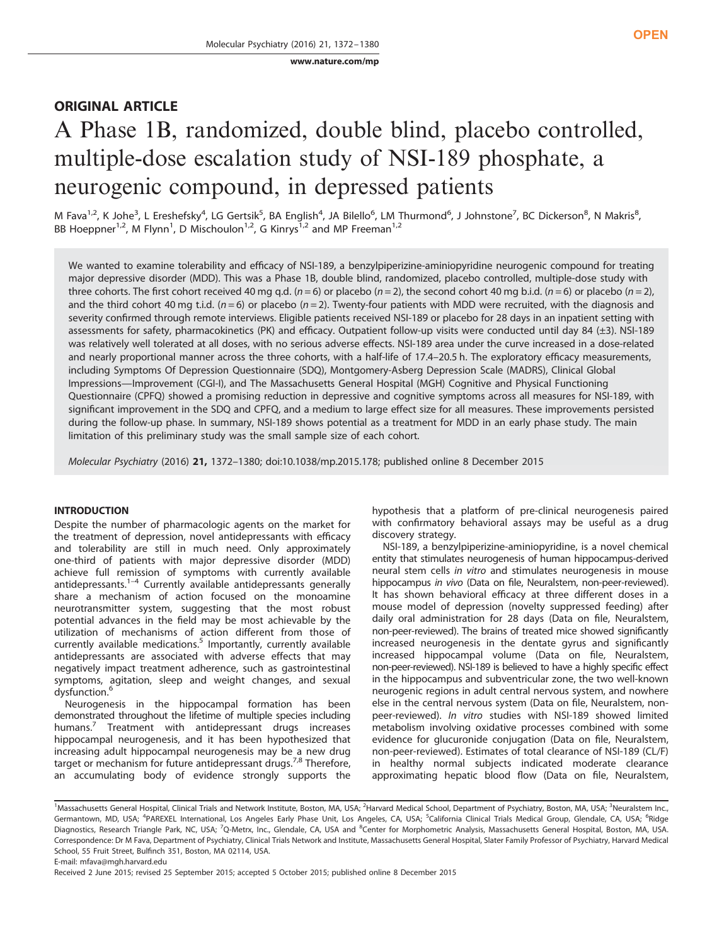[www.nature.com/mp](http://www.nature.com/mp)

# ORIGINAL ARTICLE

# A Phase 1B, randomized, double blind, placebo controlled, multiple-dose escalation study of NSI-189 phosphate, a neurogenic compound, in depressed patients

M Fava<sup>1,2</sup>, K Johe<sup>3</sup>, L Ereshefsky<sup>4</sup>, LG Gertsik<sup>5</sup>, BA English<sup>4</sup>, JA Bilello<sup>6</sup>, LM Thurmond<sup>6</sup>, J Johnstone<sup>7</sup>, BC Dickerson<sup>8</sup>, N Makris<sup>8</sup>, BB Hoeppner<sup>1,2</sup>, M Flynn<sup>1</sup>, D Mischoulon<sup>1,2</sup>, G Kinrys<sup>1,2</sup> and MP Freeman<sup>1,2</sup>

We wanted to examine tolerability and efficacy of NSI-189, a benzylpiperizine-aminiopyridine neurogenic compound for treating major depressive disorder (MDD). This was a Phase 1B, double blind, randomized, placebo controlled, multiple-dose study with three cohorts. The first cohort received 40 mg q.d. ( $n = 6$ ) or placebo ( $n = 2$ ), the second cohort 40 mg b.i.d. ( $n = 6$ ) or placebo ( $n = 2$ ), and the third cohort 40 mg t.i.d. ( $n = 6$ ) or placebo ( $n = 2$ ). Twenty-four patients with MDD were recruited, with the diagnosis and severity confirmed through remote interviews. Eligible patients received NSI-189 or placebo for 28 days in an inpatient setting with assessments for safety, pharmacokinetics (PK) and efficacy. Outpatient follow-up visits were conducted until day 84 (±3). NSI-189 was relatively well tolerated at all doses, with no serious adverse effects. NSI-189 area under the curve increased in a dose-related and nearly proportional manner across the three cohorts, with a half-life of 17.4–20.5 h. The exploratory efficacy measurements, including Symptoms Of Depression Questionnaire (SDQ), Montgomery-Asberg Depression Scale (MADRS), Clinical Global Impressions—Improvement (CGI-I), and The Massachusetts General Hospital (MGH) Cognitive and Physical Functioning Questionnaire (CPFQ) showed a promising reduction in depressive and cognitive symptoms across all measures for NSI-189, with significant improvement in the SDQ and CPFQ, and a medium to large effect size for all measures. These improvements persisted during the follow-up phase. In summary, NSI-189 shows potential as a treatment for MDD in an early phase study. The main limitation of this preliminary study was the small sample size of each cohort.

Molecular Psychiatry (2016) 21, 1372–1380; doi[:10.1038/mp.2015.178](http://dx.doi.org/10.1038/mp.2015.178); published online 8 December 2015

# INTRODUCTION

Despite the number of pharmacologic agents on the market for the treatment of depression, novel antidepressants with efficacy and tolerability are still in much need. Only approximately one-third of patients with major depressive disorder (MDD) achieve full re[mis](#page-7-0)sion of symptoms with currently available antidepressants.<sup>1–4</sup> Currently available antidepressants generally share a mechanism of action focused on the monoamine neurotransmitter system, suggesting that the most robust potential advances in the field may be most achievable by the utilization of mechanisms of action different from those of currently available medications.<sup>[5](#page-8-0)</sup> Importantly, currently available antidepressants are associated with adverse effects that may negatively impact treatment adherence, such as gastrointestinal symptoms, agitation, sleep and weight changes, and sexual dysfunction.

Neurogenesis in the hippocampal formation has been demonstrated throughout the lifetime of multiple species including humans.<sup>7</sup> Treatment with antidepressant drugs increases hippocampal neurogenesis, and it has been hypothesized that increasing adult hippocampal neurogenesis may be a new drug target or mechanism for future antidepressant drugs.<sup>[7,8](#page-8-0)</sup> Therefore, an accumulating body of evidence strongly supports the hypothesis that a platform of pre-clinical neurogenesis paired with confirmatory behavioral assays may be useful as a drug discovery strategy.

NSI-189, a benzylpiperizine-aminiopyridine, is a novel chemical entity that stimulates neurogenesis of human hippocampus-derived neural stem cells in vitro and stimulates neurogenesis in mouse hippocampus in vivo (Data on file, Neuralstem, non-peer-reviewed). It has shown behavioral efficacy at three different doses in a mouse model of depression (novelty suppressed feeding) after daily oral administration for 28 days (Data on file, Neuralstem, non-peer-reviewed). The brains of treated mice showed significantly increased neurogenesis in the dentate gyrus and significantly increased hippocampal volume (Data on file, Neuralstem, non-peer-reviewed). NSI-189 is believed to have a highly specific effect in the hippocampus and subventricular zone, the two well-known neurogenic regions in adult central nervous system, and nowhere else in the central nervous system (Data on file, Neuralstem, nonpeer-reviewed). In vitro studies with NSI-189 showed limited metabolism involving oxidative processes combined with some evidence for glucuronide conjugation (Data on file, Neuralstem, non-peer-reviewed). Estimates of total clearance of NSI-189 (CL/F) in healthy normal subjects indicated moderate clearance approximating hepatic blood flow (Data on file, Neuralstem,

<sup>&</sup>lt;sup>1</sup>Massachusetts General Hospital, Clinical Trials and Network Institute, Boston, MA, USA; <sup>2</sup>Harvard Medical School, Department of Psychiatry, Boston, MA, USA; <sup>3</sup>Neuralstem Inc., Germantown, MD, USA; <sup>4</sup>PAREXEL International, Los Angeles Early Phase Unit, Los Angeles, CA, USA; <sup>5</sup>California Clinical Trials Medical Group, Glendale, CA, USA; <sup>6</sup>Ridge Diagnostics, Research Triangle Park, NC, USA; <sup>7</sup>Q-Metrx, Inc., Glendale, CA, USA and <sup>8</sup>Center for Morphometric Analysis, Massachusetts General Hospital, Boston, MA, USA. Correspondence: Dr M Fava, Department of Psychiatry, Clinical Trials Network and Institute, Massachusetts General Hospital, Slater Family Professor of Psychiatry, Harvard Medical School, 55 Fruit Street, Bulfinch 351, Boston, MA 02114, USA.

E-mail: [mfava@mgh.harvard.edu](mailto:mfava@mgh.harvard.edu)

Received 2 June 2015; revised 25 September 2015; accepted 5 October 2015; published online 8 December 2015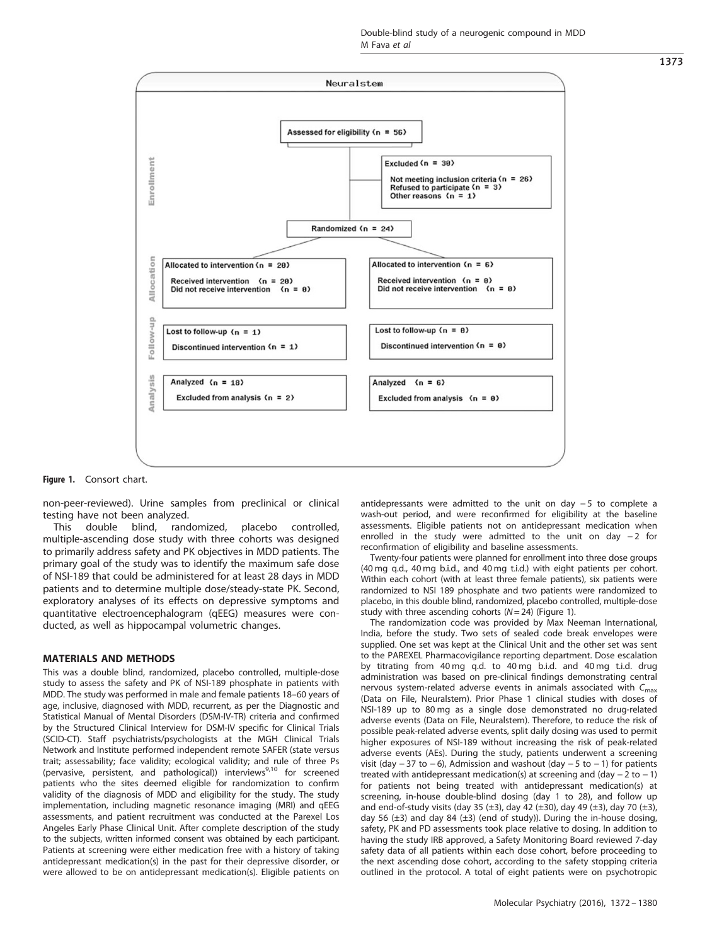

Figure 1. Consort chart.

non-peer-reviewed). Urine samples from preclinical or clinical testing have not been analyzed.

This double blind, randomized, placebo controlled, multiple-ascending dose study with three cohorts was designed to primarily address safety and PK objectives in MDD patients. The primary goal of the study was to identify the maximum safe dose of NSI-189 that could be administered for at least 28 days in MDD patients and to determine multiple dose/steady-state PK. Second, exploratory analyses of its effects on depressive symptoms and quantitative electroencephalogram (qEEG) measures were conducted, as well as hippocampal volumetric changes.

# MATERIALS AND METHODS

This was a double blind, randomized, placebo controlled, multiple-dose study to assess the safety and PK of NSI-189 phosphate in patients with MDD. The study was performed in male and female patients 18–60 years of age, inclusive, diagnosed with MDD, recurrent, as per the Diagnostic and Statistical Manual of Mental Disorders (DSM-IV-TR) criteria and confirmed by the Structured Clinical Interview for DSM-IV specific for Clinical Trials (SCID-CT). Staff psychiatrists/psychologists at the MGH Clinical Trials Network and Institute performed independent remote SAFER (state versus trait; assessability; face validity; ecological validity; and rule of three Ps (pervasive, persistent, and pathological)) interviews<sup>9,10</sup> for screened patients who the sites deemed eligible for randomization to confirm validity of the diagnosis of MDD and eligibility for the study. The study implementation, including magnetic resonance imaging (MRI) and qEEG assessments, and patient recruitment was conducted at the Parexel Los Angeles Early Phase Clinical Unit. After complete description of the study to the subjects, written informed consent was obtained by each participant. Patients at screening were either medication free with a history of taking antidepressant medication(s) in the past for their depressive disorder, or were allowed to be on antidepressant medication(s). Eligible patients on antidepressants were admitted to the unit on day − 5 to complete a wash-out period, and were reconfirmed for eligibility at the baseline assessments. Eligible patients not on antidepressant medication when enrolled in the study were admitted to the unit on day −2 for reconfirmation of eligibility and baseline assessments.

Twenty-four patients were planned for enrollment into three dose groups (40 mg q.d., 40 mg b.i.d., and 40 mg t.i.d.) with eight patients per cohort. Within each cohort (with at least three female patients), six patients were randomized to NSI 189 phosphate and two patients were randomized to placebo, in this double blind, randomized, placebo controlled, multiple-dose study with three ascending cohorts ( $N= 24$ ) (Figure 1).

The randomization code was provided by Max Neeman International, India, before the study. Two sets of sealed code break envelopes were supplied. One set was kept at the Clinical Unit and the other set was sent to the PAREXEL Pharmacovigilance reporting department. Dose escalation by titrating from 40 mg q.d. to 40 mg b.i.d. and 40 mg t.i.d. drug administration was based on pre-clinical findings demonstrating central nervous system-related adverse events in animals associated with  $C_{\rm max}$ (Data on File, Neuralstem). Prior Phase 1 clinical studies with doses of NSI-189 up to 80 mg as a single dose demonstrated no drug-related adverse events (Data on File, Neuralstem). Therefore, to reduce the risk of possible peak-related adverse events, split daily dosing was used to permit higher exposures of NSI-189 without increasing the risk of peak-related adverse events (AEs). During the study, patients underwent a screening visit (day  $-37$  to  $-6$ ), Admission and washout (day  $-5$  to  $-1$ ) for patients treated with antidepressant medication(s) at screening and (day − 2 to − 1) for patients not being treated with antidepressant medication(s) at screening, in-house double-blind dosing (day 1 to 28), and follow up and end-of-study visits (day 35 (±3), day 42 (±30), day 49 (±3), day 70 (±3), day 56  $(\pm 3)$  and day 84  $(\pm 3)$  (end of study)). During the in-house dosing, safety, PK and PD assessments took place relative to dosing. In addition to having the study IRB approved, a Safety Monitoring Board reviewed 7-day safety data of all patients within each dose cohort, before proceeding to the next ascending dose cohort, according to the safety stopping criteria outlined in the protocol. A total of eight patients were on psychotropic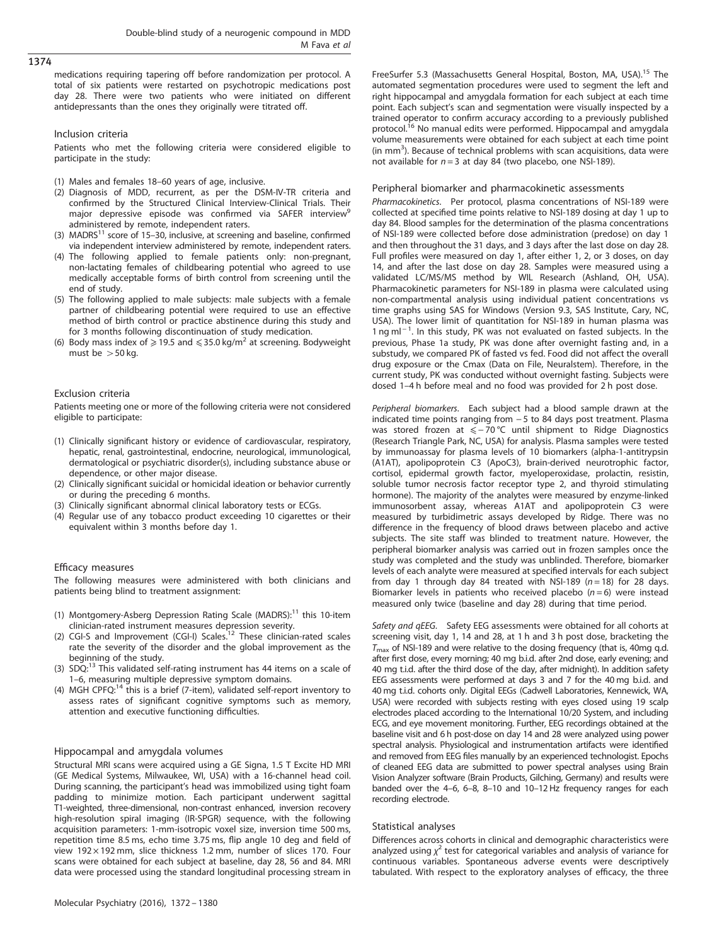medications requiring tapering off before randomization per protocol. A total of six patients were restarted on psychotropic medications post day 28. There were two patients who were initiated on different antidepressants than the ones they originally were titrated off.

# Inclusion criteria

Patients who met the following criteria were considered eligible to participate in the study:

- (1) Males and females 18–60 years of age, inclusive.
- (2) Diagnosis of MDD, recurrent, as per the DSM-IV-TR criteria and confirmed by the Structured Clinical Interview-Clinical Trials. Their major depressive episode was confirmed via SAFER interview administered by remote, independent raters.
- (3)  $MADRS<sup>11</sup> score of 15–30, inclusive, at screening and baseline, confirmed$ via independent interview administered by remote, independent raters.
- (4) The following applied to female patients only: non-pregnant, non-lactating females of childbearing potential who agreed to use medically acceptable forms of birth control from screening until the end of study.
- (5) The following applied to male subjects: male subjects with a female partner of childbearing potential were required to use an effective method of birth control or practice abstinence during this study and for 3 months following discontinuation of study medication.
- (6) Body mass index of  $\geq$  19.5 and  $\leq$  35.0 kg/m<sup>2</sup> at screening. Bodyweight must be  $>$  50 kg.

# Exclusion criteria

Patients meeting one or more of the following criteria were not considered eligible to participate:

- (1) Clinically significant history or evidence of cardiovascular, respiratory, hepatic, renal, gastrointestinal, endocrine, neurological, immunological, dermatological or psychiatric disorder(s), including substance abuse or dependence, or other major disease.
- (2) Clinically significant suicidal or homicidal ideation or behavior currently or during the preceding 6 months.
- (3) Clinically significant abnormal clinical laboratory tests or ECGs.
- (4) Regular use of any tobacco product exceeding 10 cigarettes or their equivalent within 3 months before day 1.

#### Efficacy measures

The following measures were administered with both clinicians and patients being blind to treatment assignment:

- (1) Montgomery-Asberg Depression Rating Scale (MADRS):<sup>11</sup> this 10-item clinician-rated instrument measures depression severity.
- (2) CGI-S and Improvement (CGI-I) Scales[.12](#page-8-0) These clinician-rated scales rate the severity of the disorder and the global improvement as the beginning of the study.
- (3) SDO:<sup>[13](#page-8-0)</sup> This validated self-rating instrument has 44 items on a scale of 1–6, measuring multiple depressive symptom domains.
- (4) MGH CPFQ:<sup>[14](#page-8-0)</sup> this is a brief (7-item), validated self-report inventory to assess rates of significant cognitive symptoms such as memory, attention and executive functioning difficulties.

#### Hippocampal and amygdala volumes

Structural MRI scans were acquired using a GE Signa, 1.5 T Excite HD MRI (GE Medical Systems, Milwaukee, WI, USA) with a 16-channel head coil. During scanning, the participant's head was immobilized using tight foam padding to minimize motion. Each participant underwent sagittal T1-weighted, three-dimensional, non-contrast enhanced, inversion recovery high-resolution spiral imaging (IR-SPGR) sequence, with the following acquisition parameters: 1-mm-isotropic voxel size, inversion time 500 ms, repetition time 8.5 ms, echo time 3.75 ms, flip angle 10 deg and field of view 192 $\times$ 192 mm, slice thickness 1.2 mm, number of slices 170. Four scans were obtained for each subject at baseline, day 28, 56 and 84. MRI data were processed using the standard longitudinal processing stream in FreeSurfer 5.3 (Massachusetts General Hospital, Boston, MA, USA).<sup>[15](#page-8-0)</sup> The automated segmentation procedures were used to segment the left and right hippocampal and amygdala formation for each subject at each time point. Each subject's scan and segmentation were visually inspected by a trained operator to confirm accuracy according to a previously published protocol.[16](#page-8-0) No manual edits were performed. Hippocampal and amygdala volume measurements were obtained for each subject at each time point (in mm<sup>3</sup>). Because of technical problems with scan acquisitions, data were not available for  $n = 3$  at day 84 (two placebo, one NSI-189).

#### Peripheral biomarker and pharmacokinetic assessments

Pharmacokinetics. Per protocol, plasma concentrations of NSI-189 were collected at specified time points relative to NSI-189 dosing at day 1 up to day 84. Blood samples for the determination of the plasma concentrations of NSI-189 were collected before dose administration (predose) on day 1 and then throughout the 31 days, and 3 days after the last dose on day 28. Full profiles were measured on day 1, after either 1, 2, or 3 doses, on day 14, and after the last dose on day 28. Samples were measured using a validated LC/MS/MS method by WIL Research (Ashland, OH, USA). Pharmacokinetic parameters for NSI-189 in plasma were calculated using non-compartmental analysis using individual patient concentrations vs time graphs using SAS for Windows (Version 9.3, SAS Institute, Cary, NC, USA). The lower limit of quantitation for NSI-189 in human plasma was 1 ng ml<sup>-1</sup>. In this study, PK was not evaluated on fasted subjects. In the previous, Phase 1a study, PK was done after overnight fasting and, in a substudy, we compared PK of fasted vs fed. Food did not affect the overall drug exposure or the Cmax (Data on File, Neuralstem). Therefore, in the current study, PK was conducted without overnight fasting. Subjects were dosed 1–4 h before meal and no food was provided for 2 h post dose.

Peripheral biomarkers. Each subject had a blood sample drawn at the indicated time points ranging from − 5 to 84 days post treatment. Plasma was stored frozen at ≤ − 70 °C until shipment to Ridge Diagnostics (Research Triangle Park, NC, USA) for analysis. Plasma samples were tested by immunoassay for plasma levels of 10 biomarkers (alpha-1-antitrypsin (A1AT), apolipoprotein C3 (ApoC3), brain-derived neurotrophic factor, cortisol, epidermal growth factor, myeloperoxidase, prolactin, resistin, soluble tumor necrosis factor receptor type 2, and thyroid stimulating hormone). The majority of the analytes were measured by enzyme-linked immunosorbent assay, whereas A1AT and apolipoprotein C3 were measured by turbidimetric assays developed by Ridge. There was no difference in the frequency of blood draws between placebo and active subjects. The site staff was blinded to treatment nature. However, the peripheral biomarker analysis was carried out in frozen samples once the study was completed and the study was unblinded. Therefore, biomarker levels of each analyte were measured at specified intervals for each subject from day 1 through day 84 treated with NSI-189 ( $n = 18$ ) for 28 days. Biomarker levels in patients who received placebo ( $n = 6$ ) were instead measured only twice (baseline and day 28) during that time period.

Safety and qEEG. Safety EEG assessments were obtained for all cohorts at screening visit, day 1, 14 and 28, at 1 h and 3 h post dose, bracketing the  $T_{\text{max}}$  of NSI-189 and were relative to the dosing frequency (that is, 40mg q.d. after first dose, every morning; 40 mg b.i.d. after 2nd dose, early evening; and 40 mg t.i.d. after the third dose of the day, after midnight). In addition safety EEG assessments were performed at days 3 and 7 for the 40 mg b.i.d. and 40 mg t.i.d. cohorts only. Digital EEGs (Cadwell Laboratories, Kennewick, WA, USA) were recorded with subjects resting with eyes closed using 19 scalp electrodes placed according to the International 10/20 System, and including ECG, and eye movement monitoring. Further, EEG recordings obtained at the baseline visit and 6 h post-dose on day 14 and 28 were analyzed using power spectral analysis. Physiological and instrumentation artifacts were identified and removed from EEG files manually by an experienced technologist. Epochs of cleaned EEG data are submitted to power spectral analyses using Brain Vision Analyzer software (Brain Products, Gilching, Germany) and results were banded over the 4–6, 6–8, 8–10 and 10–12 Hz frequency ranges for each recording electrode.

#### Statistical analyses

Differences across cohorts in clinical and demographic characteristics were analyzed using  $\chi^2$  test for categorical variables and analysis of variance for continuous variables. Spontaneous adverse events were descriptively tabulated. With respect to the exploratory analyses of efficacy, the three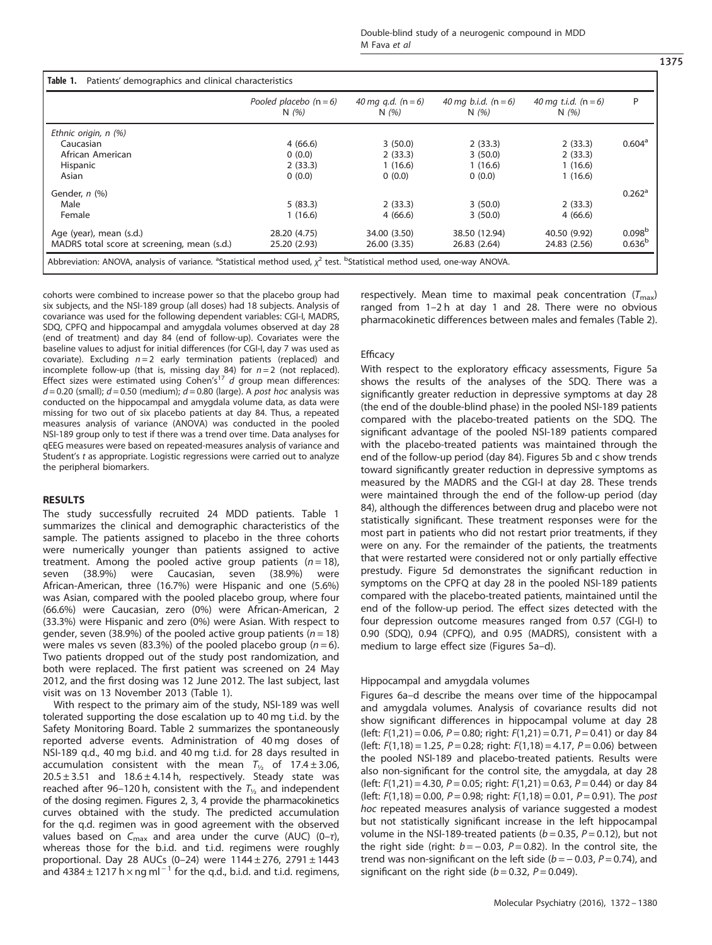|                                             | Pooled placebo $(n = 6)$<br>N(96) | 40 mg g.d. ( $n = 6$ )<br>N(%) | 40 mg b.i.d. ( $n = 6$ )<br>N(96) | 40 mg t.i.d. $(n = 6)$<br>N(96) | P                    |
|---------------------------------------------|-----------------------------------|--------------------------------|-----------------------------------|---------------------------------|----------------------|
| Ethnic origin, n (%)                        |                                   |                                |                                   |                                 |                      |
| Caucasian                                   | 4(66.6)                           | 3(50.0)                        | 2(33.3)                           | 2(33.3)                         | 0.604 <sup>a</sup>   |
| African American                            | 0(0.0)                            | 2(33.3)                        | 3(50.0)                           | 2(33.3)                         |                      |
| Hispanic                                    | 2(33.3)                           | 1(16.6)                        | 1(16.6)                           | 1(16.6)                         |                      |
| Asian                                       | 0(0.0)                            | 0(0.0)                         | 0(0.0)                            | 1(16.6)                         |                      |
| Gender, n (%)                               |                                   |                                |                                   |                                 | $0.262$ <sup>a</sup> |
| Male                                        | 5(83.3)                           | 2(33.3)                        | 3(50.0)                           | 2(33.3)                         |                      |
| Female                                      | 1(16.6)                           | 4(66.6)                        | 3(50.0)                           | 4(66.6)                         |                      |
| Age (year), mean (s.d.)                     | 28.20 (4.75)                      | 34.00 (3.50)                   | 38.50 (12.94)                     | 40.50 (9.92)                    | 0.098 <sup>b</sup>   |
| MADRS total score at screening, mean (s.d.) | 25.20 (2.93)                      | 26.00 (3.35)                   | 26.83 (2.64)                      | 24.83 (2.56)                    | 0.636 <sup>b</sup>   |

cohorts were combined to increase power so that the placebo group had six subjects, and the NSI-189 group (all doses) had 18 subjects. Analysis of covariance was used for the following dependent variables: CGI-I, MADRS, SDQ, CPFQ and hippocampal and amygdala volumes observed at day 28 (end of treatment) and day 84 (end of follow-up). Covariates were the baseline values to adjust for initial differences (for CGI-I, day 7 was used as covariate). Excluding  $n = 2$  early termination patients (replaced) and incomplete follow-up (that is, missing day 84) for  $n = 2$  (not replaced). Effect sizes were estimated using Cohen's<sup>[17](#page-8-0)</sup> d group mean differences:  $d = 0.20$  (small);  $d = 0.50$  (medium);  $d = 0.80$  (large). A post hoc analysis was conducted on the hippocampal and amygdala volume data, as data were missing for two out of six placebo patients at day 84. Thus, a repeated measures analysis of variance (ANOVA) was conducted in the pooled NSI-189 group only to test if there was a trend over time. Data analyses for qEEG measures were based on repeated-measures analysis of variance and Student's t as appropriate. Logistic regressions were carried out to analyze the peripheral biomarkers.

# RESULTS

The study successfully recruited 24 MDD patients. Table 1 summarizes the clinical and demographic characteristics of the sample. The patients assigned to placebo in the three cohorts were numerically younger than patients assigned to active treatment. Among the pooled active group patients  $(n = 18)$ , seven (38.9%) were Caucasian, seven (38.9%) were African-American, three (16.7%) were Hispanic and one (5.6%) was Asian, compared with the pooled placebo group, where four (66.6%) were Caucasian, zero (0%) were African-American, 2 (33.3%) were Hispanic and zero (0%) were Asian. With respect to gender, seven (38.9%) of the pooled active group patients ( $n = 18$ ) were males vs seven (83.3%) of the pooled placebo group ( $n = 6$ ). Two patients dropped out of the study post randomization, and both were replaced. The first patient was screened on 24 May 2012, and the first dosing was 12 June 2012. The last subject, last visit was on 13 November 2013 (Table 1).

With respect to the primary aim of the study, NSI-189 was well tolerated supporting the dose escalation up to 40 mg t.i.d. by the Safety Monitoring Board. [Table 2](#page-4-0) summarizes the spontaneously reported adverse events. Administration of 40 mg doses of NSI-189 q.d., 40 mg b.i.d. and 40 mg t.i.d. for 28 days resulted in accumulation consistent with the mean  $T_{1/2}$  of 17.4 ± 3.06,  $20.5 \pm 3.51$  and  $18.6 \pm 4.14$  h, respectively. Steady state was reached after 96–120 h, consistent with the  $T_{1/2}$  and independent of the dosing regimen. [Figures 2](#page-4-0), [3](#page-4-0), [4](#page-5-0) provide the pharmacokinetics curves obtained with the study. The predicted accumulation for the q.d. regimen was in good agreement with the observed values based on  $C_{\text{max}}$  and area under the curve (AUC) (0-τ), whereas those for the b.i.d. and t.i.d. regimens were roughly proportional. Day 28 AUCs (0-24) were  $1144 \pm 276$ , 2791  $\pm$  1443 and  $4384 \pm 1217$  h × ng ml<sup>-1</sup> for the q.d., b.i.d. and t.i.d. regimens, respectively. Mean time to maximal peak concentration  $(T_{\text{max}})$ ranged from 1–2 h at day 1 and 28. There were no obvious pharmacokinetic differences between males and females ([Table 2\)](#page-4-0).

# **Efficacy**

With respect to the exploratory efficacy assessments, [Figure 5a](#page-5-0) shows the results of the analyses of the SDQ. There was a significantly greater reduction in depressive symptoms at day 28 (the end of the double-blind phase) in the pooled NSI-189 patients compared with the placebo-treated patients on the SDQ. The significant advantage of the pooled NSI-189 patients compared with the placebo-treated patients was maintained through the end of the follow-up period (day 84). [Figures 5b and c](#page-5-0) show trends toward significantly greater reduction in depressive symptoms as measured by the MADRS and the CGI-I at day 28. These trends were maintained through the end of the follow-up period (day 84), although the differences between drug and placebo were not statistically significant. These treatment responses were for the most part in patients who did not restart prior treatments, if they were on any. For the remainder of the patients, the treatments that were restarted were considered not or only partially effective prestudy. [Figure 5d](#page-5-0) demonstrates the significant reduction in symptoms on the CPFQ at day 28 in the pooled NSI-189 patients compared with the placebo-treated patients, maintained until the end of the follow-up period. The effect sizes detected with the four depression outcome measures ranged from 0.57 (CGI-I) to 0.90 (SDQ), 0.94 (CPFQ), and 0.95 (MADRS), consistent with a medium to large effect size [\(Figures 5a](#page-5-0)–d).

#### Hippocampal and amygdala volumes

[Figures 6a](#page-6-0)–d describe the means over time of the hippocampal and amygdala volumes. Analysis of covariance results did not show significant differences in hippocampal volume at day 28 (left:  $F(1,21) = 0.06$ ,  $P = 0.80$ ; right:  $F(1,21) = 0.71$ ,  $P = 0.41$ ) or day 84 (left:  $F(1,18) = 1.25$ ,  $P = 0.28$ ; right:  $F(1,18) = 4.17$ ,  $P = 0.06$ ) between the pooled NSI-189 and placebo-treated patients. Results were also non-significant for the control site, the amygdala, at day 28 (left:  $F(1,21) = 4.30$ ,  $P = 0.05$ ; right:  $F(1,21) = 0.63$ ,  $P = 0.44$ ) or day 84 (left:  $F(1,18) = 0.00$ ,  $P = 0.98$ ; right:  $F(1,18) = 0.01$ ,  $P = 0.91$ ). The post hoc repeated measures analysis of variance suggested a modest but not statistically significant increase in the left hippocampal volume in the NSI-189-treated patients ( $b = 0.35$ ,  $P = 0.12$ ), but not the right side (right:  $b = -0.03$ ,  $P = 0.82$ ). In the control site, the trend was non-significant on the left side ( $b = -0.03$ ,  $P = 0.74$ ), and significant on the right side ( $b = 0.32$ ,  $P = 0.049$ ).

Molecular Psychiatry (2016), 1372 – 1380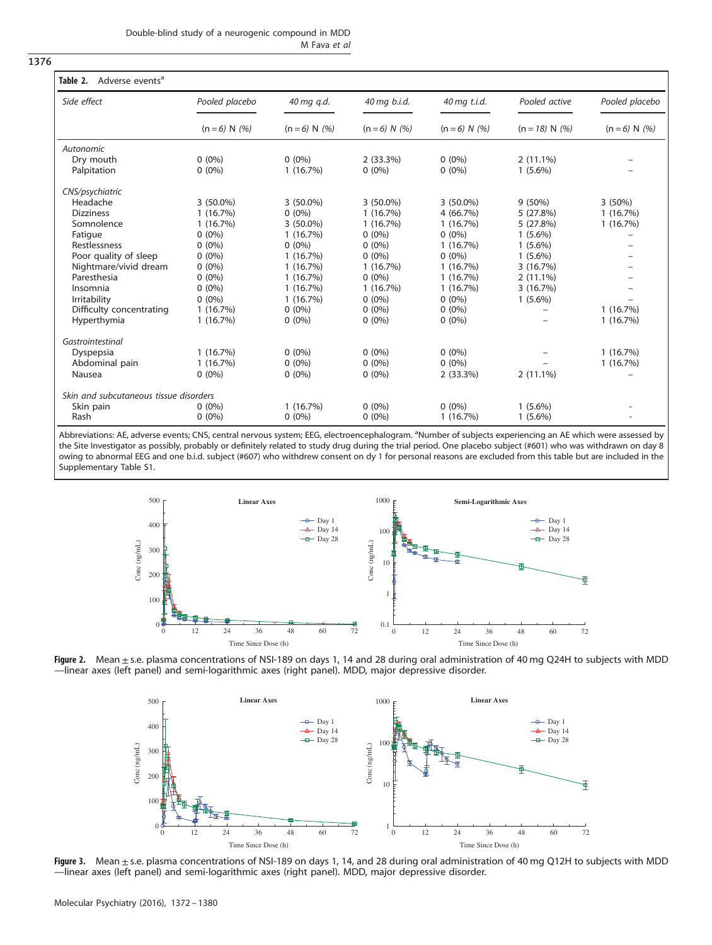<span id="page-4-0"></span>1376

| Side effect                            | Pooled placebo  | 40 mg g.d.<br>$(n = 6) N$ (%) | 40 mg b.i.d.<br>$(n = 6) N (%)$ | 40 mg t.i.d.<br>$(n = 6) N (%)$ | Pooled active<br>$(n = 18) N(%)$ | Pooled placebo<br>$(n = 6) N(% )$ |
|----------------------------------------|-----------------|-------------------------------|---------------------------------|---------------------------------|----------------------------------|-----------------------------------|
|                                        | $(n = 6) N$ (%) |                               |                                 |                                 |                                  |                                   |
| Autonomic                              |                 |                               |                                 |                                 |                                  |                                   |
| Dry mouth                              | $0(0\%)$        | $0(0\%)$                      | 2(33.3%)                        | $0(0\%)$                        | $2(11.1\%)$                      |                                   |
| Palpitation                            | $0(0\%)$        | 1(16.7%)                      | $0(0\%)$                        | $0(0\%)$                        | $1(5.6\%)$                       |                                   |
| CNS/psychiatric                        |                 |                               |                                 |                                 |                                  |                                   |
| Headache                               | 3 (50.0%)       | 3 (50.0%)                     | 3 (50.0%)                       | $3(50.0\%)$                     | $9(50\%)$                        | 3(50%)                            |
| <b>Dizziness</b>                       | 1(16.7%)        | $0(0\%)$                      | 1(16.7%)                        | 4(66.7%)                        | 5(27.8%)                         | 1(16.7%)                          |
| Somnolence                             | 1(16.7%)        | 3 (50.0%)                     | 1(16.7%)                        | 1(16.7%)                        | 5 (27.8%)                        | 1(16.7%)                          |
| Fatigue                                | $0(0\%)$        | 1(16.7%)                      | $0(0\%)$                        | $0(0\%)$                        | $1(5.6\%)$                       |                                   |
| Restlessness                           | $0(0\%)$        | $0(0\%)$                      | $0(0\%)$                        | 1(16.7%)                        | $1(5.6\%)$                       |                                   |
| Poor quality of sleep                  | $0(0\%)$        | 1(16.7%)                      | $0(0\%)$                        | $0(0\%)$                        | $1(5.6\%)$                       |                                   |
| Nightmare/vivid dream                  | $0(0\%)$        | 1(16.7%)                      | 1(16.7%)                        | 1(16.7%)                        | 3 (16.7%)                        |                                   |
| Paresthesia                            | $0(0\%)$        | 1(16.7%)                      | $0(0\%)$                        | 1(16.7%)                        | $2(11.1\%)$                      |                                   |
| Insomnia                               | $0(0\%)$        | 1(16.7%)                      | 1(16.7%)                        | 1(16.7%)                        | 3 (16.7%)                        |                                   |
| Irritability                           | $0(0\%)$        | 1(16.7%)                      | $0(0\%)$                        | $0(0\%)$                        | $1(5.6\%)$                       |                                   |
| Difficulty concentrating               | 1(16.7%)        | $0(0\%)$                      | $0(0\%)$                        | $0(0\%)$                        |                                  | 1(16.7%)                          |
| Hyperthymia                            | 1(16.7%)        | $0(0\%)$                      | $0(0\%)$                        | $0(0\%)$                        |                                  | 1(16.7%)                          |
| Gastrointestinal                       |                 |                               |                                 |                                 |                                  |                                   |
| Dyspepsia                              | 1(16.7%)        | $0(0\%)$                      | $0(0\%)$                        | $0(0\%)$                        |                                  | 1(16.7%)                          |
| Abdominal pain                         | 1(16.7%)        | $0(0\%)$                      | $0(0\%)$                        | $0(0\%)$                        |                                  | 1(16.7%)                          |
| Nausea                                 | $0(0\%)$        | $0(0\%)$                      | $0(0\%)$                        | 2(33.3%)                        | $2(11.1\%)$                      |                                   |
| Skin and subcutaneous tissue disorders |                 |                               |                                 |                                 |                                  |                                   |
| Skin pain                              | $0(0\%)$        | 1(16.7%)                      | $0(0\%)$                        | $0(0\%)$                        | $1(5.6\%)$                       |                                   |
| Rash                                   | $0(0\%)$        | $0(0\%)$                      | $0(0\%)$                        | 1(16.7%)                        | $1(5.6\%)$                       |                                   |

Abbreviations: AE, adverse events; CNS, central nervous system; EEG, electroencephalogram. <sup>a</sup>Number of subjects experiencing an AE which were assessed by the Site Investigator as possibly, probably or definitely related to study drug during the trial period. One placebo subject (#601) who was withdrawn on day 8 owing to abnormal EEG and one b.i.d. subject (#607) who withdrew consent on dy 1 for personal reasons are excluded from this table but are included in the Supplementary Table S1.



Figure 2. Mean ± s.e. plasma concentrations of NSI-189 on days 1, 14 and 28 during oral administration of 40 mg Q24H to subjects with MDD —linear axes (left panel) and semi-logarithmic axes (right panel). MDD, major depressive disorder.



Figure 3. Mean ± s.e. plasma concentrations of NSI-189 on days 1, 14, and 28 during oral administration of 40 mg Q12H to subjects with MDD —linear axes (left panel) and semi-logarithmic axes (right panel). MDD, major depressive disorder.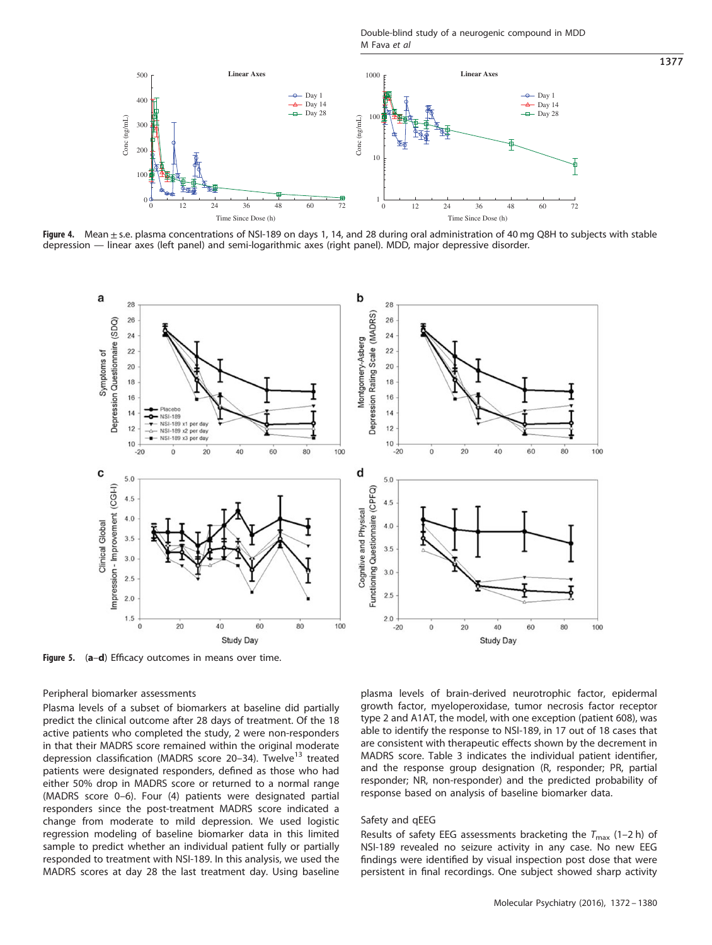Double-blind study of a neurogenic compound in MDD M Fava et al

<span id="page-5-0"></span>

Figure 4. Mean ± s.e. plasma concentrations of NSI-189 on days 1, 14, and 28 during oral administration of 40 mg Q8H to subjects with stable depression — linear axes (left panel) and semi-logarithmic axes (right panel). MDD, major depressive disorder.



Figure 5. (a-d) Efficacy outcomes in means over time.

# Peripheral biomarker assessments

Plasma levels of a subset of biomarkers at baseline did partially predict the clinical outcome after 28 days of treatment. Of the 18 active patients who completed the study, 2 were non-responders in that their MADRS score remained within the original moderate depression classification (MADRS score 20–34). Twelve<sup>[13](#page-8-0)</sup> treated patients were designated responders, defined as those who had either 50% drop in MADRS score or returned to a normal range (MADRS score 0–6). Four (4) patients were designated partial responders since the post-treatment MADRS score indicated a change from moderate to mild depression. We used logistic regression modeling of baseline biomarker data in this limited sample to predict whether an individual patient fully or partially responded to treatment with NSI-189. In this analysis, we used the MADRS scores at day 28 the last treatment day. Using baseline plasma levels of brain-derived neurotrophic factor, epidermal growth factor, myeloperoxidase, tumor necrosis factor receptor type 2 and A1AT, the model, with one exception (patient 608), was able to identify the response to NSI-189, in 17 out of 18 cases that are consistent with therapeutic effects shown by the decrement in MADRS score. [Table 3](#page-7-0) indicates the individual patient identifier, and the response group designation (R, responder; PR, partial responder; NR, non-responder) and the predicted probability of response based on analysis of baseline biomarker data.

# Safety and qEEG

Results of safety EEG assessments bracketing the  $T_{\text{max}}$  (1–2 h) of NSI-189 revealed no seizure activity in any case. No new EEG findings were identified by visual inspection post dose that were persistent in final recordings. One subject showed sharp activity

1377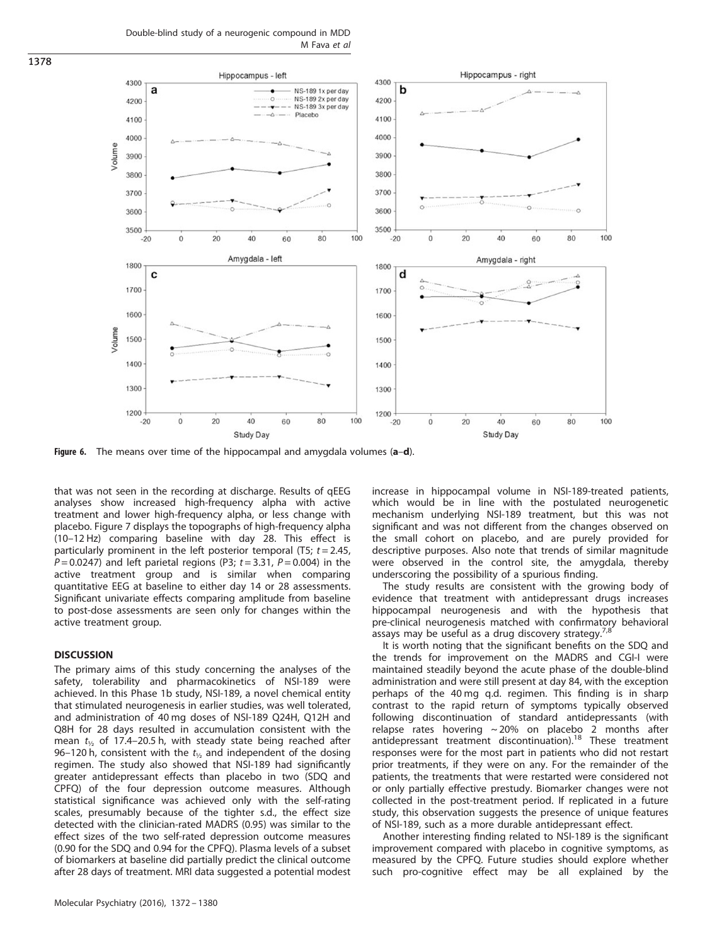Double-blind study of a neurogenic compound in MDD M Fava et al

<span id="page-6-0"></span>

Figure 6. The means over time of the hippocampal and amygdala volumes (a–d).

that was not seen in the recording at discharge. Results of qEEG analyses show increased high-frequency alpha with active treatment and lower high-frequency alpha, or less change with placebo. [Figure 7](#page-7-0) displays the topographs of high-frequency alpha (10–12 Hz) comparing baseline with day 28. This effect is particularly prominent in the left posterior temporal (T5;  $t = 2.45$ ,  $P = 0.0247$ ) and left parietal regions (P3;  $t = 3.31$ ,  $P = 0.004$ ) in the active treatment group and is similar when comparing quantitative EEG at baseline to either day 14 or 28 assessments. Significant univariate effects comparing amplitude from baseline to post-dose assessments are seen only for changes within the active treatment group.

# **DISCUSSION**

The primary aims of this study concerning the analyses of the safety, tolerability and pharmacokinetics of NSI-189 were achieved. In this Phase 1b study, NSI-189, a novel chemical entity that stimulated neurogenesis in earlier studies, was well tolerated, and administration of 40 mg doses of NSI-189 Q24H, Q12H and Q8H for 28 days resulted in accumulation consistent with the mean  $t_{1/2}$  of 17.4–20.5 h, with steady state being reached after 96–120 h, consistent with the  $t_{1/2}$  and independent of the dosing regimen. The study also showed that NSI-189 had significantly greater antidepressant effects than placebo in two (SDQ and CPFQ) of the four depression outcome measures. Although statistical significance was achieved only with the self-rating scales, presumably because of the tighter s.d., the effect size detected with the clinician-rated MADRS (0.95) was similar to the effect sizes of the two self-rated depression outcome measures (0.90 for the SDQ and 0.94 for the CPFQ). Plasma levels of a subset of biomarkers at baseline did partially predict the clinical outcome after 28 days of treatment. MRI data suggested a potential modest

Molecular Psychiatry (2016), 1372 – 1380

increase in hippocampal volume in NSI-189-treated patients, which would be in line with the postulated neurogenetic mechanism underlying NSI-189 treatment, but this was not significant and was not different from the changes observed on the small cohort on placebo, and are purely provided for descriptive purposes. Also note that trends of similar magnitude were observed in the control site, the amygdala, thereby underscoring the possibility of a spurious finding.

The study results are consistent with the growing body of evidence that treatment with antidepressant drugs increases hippocampal neurogenesis and with the hypothesis that pre-clinical neurogenesis matched with confirmatory behavioral assays may be useful as a drug discovery strategy.<sup>[7,8](#page-8-0)</sup>

It is worth noting that the significant benefits on the SDQ and the trends for improvement on the MADRS and CGI-I were maintained steadily beyond the acute phase of the double-blind administration and were still present at day 84, with the exception perhaps of the 40 mg q.d. regimen. This finding is in sharp contrast to the rapid return of symptoms typically observed following discontinuation of standard antidepressants (with relapse rates hovering  $\sim$  20% on placebo 2 months after antidepressant treatment discontinuation). $^{18}$  $^{18}$  $^{18}$  These treatment responses were for the most part in patients who did not restart prior treatments, if they were on any. For the remainder of the patients, the treatments that were restarted were considered not or only partially effective prestudy. Biomarker changes were not collected in the post-treatment period. If replicated in a future study, this observation suggests the presence of unique features of NSI-189, such as a more durable antidepressant effect.

Another interesting finding related to NSI-189 is the significant improvement compared with placebo in cognitive symptoms, as measured by the CPFQ. Future studies should explore whether such pro-cognitive effect may be all explained by the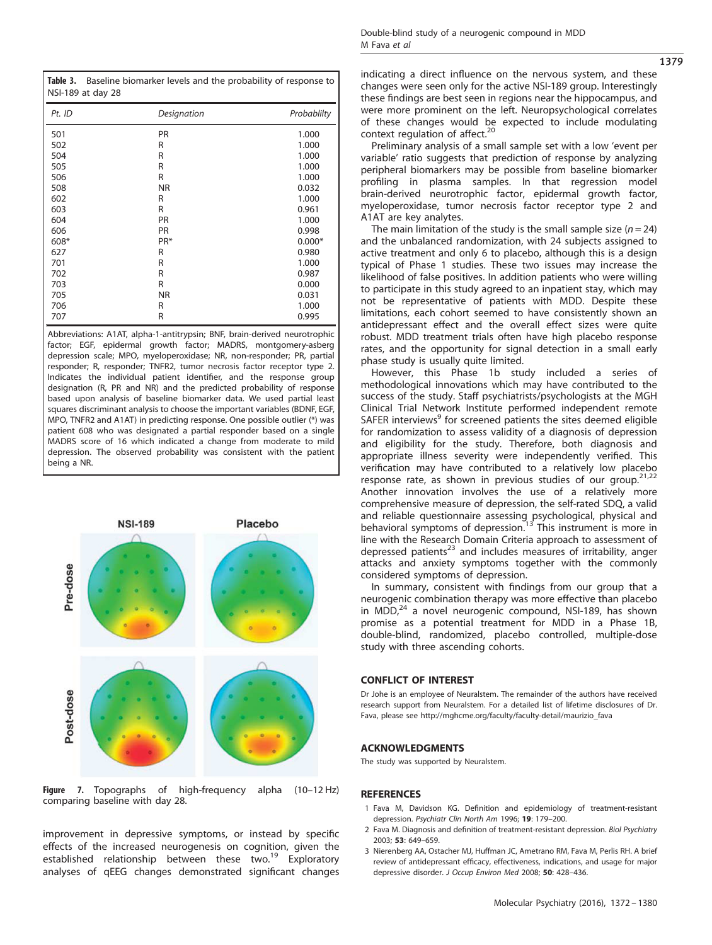<span id="page-7-0"></span>Table 3. Baseline biomarker levels and the probability of response to NSI-189 at day 28

| Pt. ID | Designation | Probablilty |
|--------|-------------|-------------|
| 501    | PR          | 1.000       |
| 502    | R           | 1.000       |
| 504    | R           | 1.000       |
| 505    | R           | 1.000       |
| 506    | R           | 1.000       |
| 508    | <b>NR</b>   | 0.032       |
| 602    | R           | 1.000       |
| 603    | R           | 0.961       |
| 604    | PR          | 1.000       |
| 606    | PR          | 0.998       |
| 608*   | PR*         | $0.000*$    |
| 627    | R           | 0.980       |
| 701    | R           | 1.000       |
| 702    | R           | 0.987       |
| 703    | R           | 0.000       |
| 705    | <b>NR</b>   | 0.031       |
| 706    | R           | 1.000       |
| 707    | R           | 0.995       |

Abbreviations: A1AT, alpha-1-antitrypsin; BNF, brain-derived neurotrophic factor; EGF, epidermal growth factor; MADRS, montgomery-asberg depression scale; MPO, myeloperoxidase; NR, non-responder; PR, partial responder; R, responder; TNFR2, tumor necrosis factor receptor type 2. Indicates the individual patient identifier, and the response group designation (R, PR and NR) and the predicted probability of response based upon analysis of baseline biomarker data. We used partial least squares discriminant analysis to choose the important variables (BDNF, EGF, MPO, TNFR2 and A1AT) in predicting response. One possible outlier (\*) was patient 608 who was designated a partial responder based on a single MADRS score of 16 which indicated a change from moderate to mild depression. The observed probability was consistent with the patient being a NR.



Figure 7. Topographs of high-frequency alpha (10–12 Hz) comparing baseline with day 28.

improvement in depressive symptoms, or instead by specific effects of the increased neurogenesis on cognition, given the established relationship between these two.<sup>[19](#page-8-0)</sup> Exploratory analyses of qEEG changes demonstrated significant changes indicating a direct influence on the nervous system, and these changes were seen only for the active NSI-189 group. Interestingly these findings are best seen in regions near the hippocampus, and were more prominent on the left. Neuropsychological correlates of these changes would be expected to include modulating context regulation of affect. $20$ 

Preliminary analysis of a small sample set with a low 'event per variable' ratio suggests that prediction of response by analyzing peripheral biomarkers may be possible from baseline biomarker profiling in plasma samples. In that regression model brain-derived neurotrophic factor, epidermal growth factor, myeloperoxidase, tumor necrosis factor receptor type 2 and A1AT are key analytes.

The main limitation of the study is the small sample size  $(n = 24)$ and the unbalanced randomization, with 24 subjects assigned to active treatment and only 6 to placebo, although this is a design typical of Phase 1 studies. These two issues may increase the likelihood of false positives. In addition patients who were willing to participate in this study agreed to an inpatient stay, which may not be representative of patients with MDD. Despite these limitations, each cohort seemed to have consistently shown an antidepressant effect and the overall effect sizes were quite robust. MDD treatment trials often have high placebo response rates, and the opportunity for signal detection in a small early phase study is usually quite limited.

However, this Phase 1b study included a series of methodological innovations which may have contributed to the success of the study. Staff psychiatrists/psychologists at the MGH Clinical Trial Network Institute performed independent remote SAFER interviews<sup>9</sup> for screened patients the sites deemed eligible for randomization to assess validity of a diagnosis of depression and eligibility for the study. Therefore, both diagnosis and appropriate illness severity were independently verified. This verification may have contributed to a relatively low placebo response rate, as shown in previous studies of our group.<sup>[21,22](#page-8-0)</sup> Another innovation involves the use of a relatively more comprehensive measure of depression, the self-rated SDQ, a valid and reliable questionnaire assessing psychological, physical and<br>behavioral symptoms of depression.<sup>[13](#page-8-0)</sup> This instrument is more in line with the Research Domain Criteria approach to assessment of depressed patients<sup>[23](#page-8-0)</sup> and includes measures of irritability, anger attacks and anxiety symptoms together with the commonly considered symptoms of depression.

In summary, consistent with findings from our group that a neurogenic combination therapy was more effective than placebo in MDD, $^{24}$  $^{24}$  $^{24}$  a novel neurogenic compound, NSI-189, has shown promise as a potential treatment for MDD in a Phase 1B, double-blind, randomized, placebo controlled, multiple-dose study with three ascending cohorts.

# CONFLICT OF INTEREST

Dr Johe is an employee of Neuralstem. The remainder of the authors have received research support from Neuralstem. For a detailed list of lifetime disclosures of Dr. Fava, please see [http://mghcme.org/faculty/faculty-detail/maurizio\\_fava](http://mghcme.org/faculty/faculty-detail/maurizio_fava)

# ACKNOWLEDGMENTS

The study was supported by Neuralstem.

#### **REFERENCES**

- 1 Fava M, Davidson KG. Definition and epidemiology of treatment-resistant depression. Psychiatr Clin North Am 1996; 19: 179–200.
- 2 Fava M. Diagnosis and definition of treatment-resistant depression. Biol Psychiatry 2003; 53: 649–659.
- 3 Nierenberg AA, Ostacher MJ, Huffman JC, Ametrano RM, Fava M, Perlis RH. A brief review of antidepressant efficacy, effectiveness, indications, and usage for major depressive disorder. J Occup Environ Med 2008; 50: 428–436.